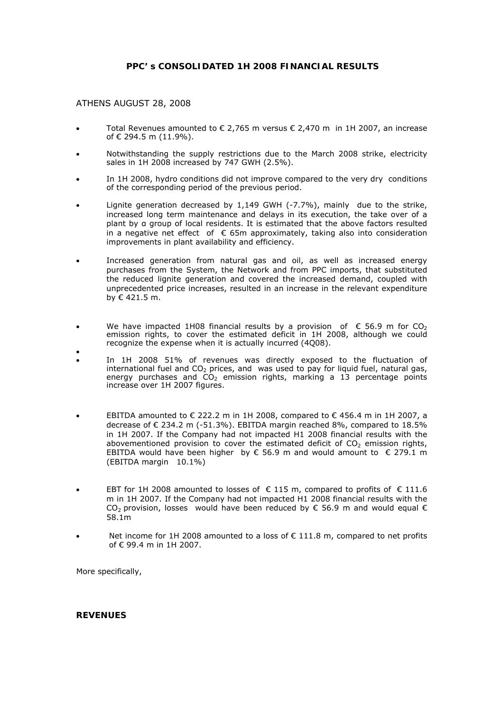# **PPC' s CONSOLIDATED 1H 2008 FINANCIAL RESULTS**

# ATHENS AUGUST 28, 2008

- Total Revenues amounted to € 2,765 m versus  $€$  2,470 m in 1H 2007, an increase of € 294.5 m (11.9%).
- Notwithstanding the supply restrictions due to the March 2008 strike, electricity sales in 1H 2008 increased by 747 GWH (2.5%).
- In 1H 2008, hydro conditions did not improve compared to the very dry conditions of the corresponding period of the previous period.
- Lignite generation decreased by 1,149 GWH (-7.7%), mainly due to the strike, increased long term maintenance and delays in its execution, the take over of a plant by α group of local residents. It is estimated that the above factors resulted in a negative net effect of  $\epsilon$  65m approximately, taking also into consideration improvements in plant availability and efficiency.
- Increased generation from natural gas and oil, as well as increased energy purchases from the System, the Network and from PPC imports, that substituted the reduced lignite generation and covered the increased demand, coupled with unprecedented price increases, resulted in an increase in the relevant expenditure by € 421.5 m.
- We have impacted 1H08 financial results by a provision of  $\epsilon$  56.9 m for CO<sub>2</sub> emission rights, to cover the estimated deficit in 1H 2008, although we could recognize the expense when it is actually incurred (4Q08).
- • In 1H 2008 51% of revenues was directly exposed to the fluctuation of international fuel and  $CO<sub>2</sub>$  prices, and was used to pay for liquid fuel, natural gas, energy purchases and  $CO<sub>2</sub>$  emission rights, marking a 13 percentage points increase over 1H 2007 figures.
- EBITDA amounted to € 222.2 m in 1H 2008, compared to € 456.4 m in 1H 2007, a decrease of  $\epsilon$  234.2 m (-51.3%). EBITDA margin reached 8%, compared to 18.5% in 1H 2007. If the Company had not impacted H1 2008 financial results with the abovementioned provision to cover the estimated deficit of  $CO<sub>2</sub>$  emission rights, EBITDA would have been higher by € 56.9 m and would amount to  $\in$  279.1 m (EBITDA margin 10.1%)
- EBT for 1H 2008 amounted to losses of € 115 m, compared to profits of € 111.6 m in 1H 2007. If the Company had not impacted H1 2008 financial results with the CO<sub>2</sub> provision, losses would have been reduced by  $\epsilon$  56.9 m and would equal  $\epsilon$ 58.1m
- Net income for 1H 2008 amounted to a loss of  $\epsilon$  111.8 m, compared to net profits of € 99.4 m in 1H 2007.

More specifically,

#### **REVENUES**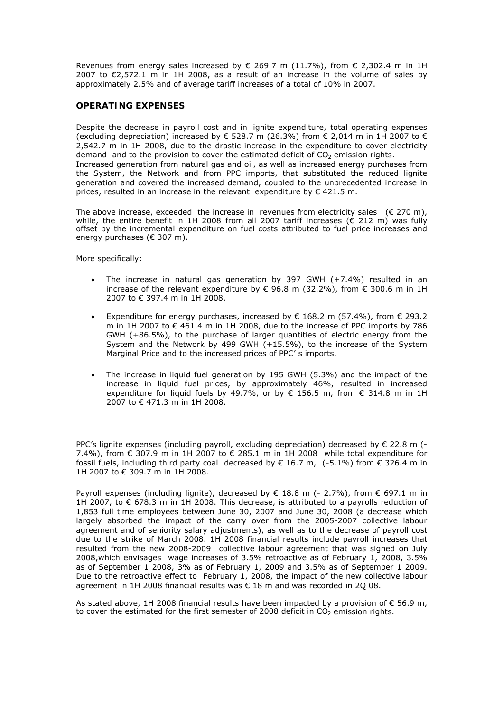Revenues from energy sales increased by  $\epsilon$  269.7 m (11.7%), from  $\epsilon$  2,302.4 m in 1H 2007 to  $\epsilon$ 2,572.1 m in 1H 2008, as a result of an increase in the volume of sales by approximately 2.5% and of average tariff increases of a total of 10% in 2007.

# **OPERATING EXPENSES**

Despite the decrease in payroll cost and in lignite expenditure, total operating expenses (excluding depreciation) increased by  $\epsilon$  528.7 m (26.3%) from  $\epsilon$  2,014 m in 1H 2007 to  $\epsilon$ 2,542.7 m in 1H 2008, due to the drastic increase in the expenditure to cover electricity demand and to the provision to cover the estimated deficit of  $CO<sub>2</sub>$  emission rights. Increased generation from natural gas and oil, as well as increased energy purchases from the System, the Network and from PPC imports, that substituted the reduced lignite generation and covered the increased demand, coupled to the unprecedented increase in prices, resulted in an increase in the relevant expenditure by  $\epsilon$  421.5 m.

The above increase, exceeded the increase in revenues from electricity sales  $(E 270 \text{ m})$ , while, the entire benefit in 1H 2008 from all 2007 tariff increases ( $\epsilon$  212 m) was fully offset by the incremental expenditure on fuel costs attributed to fuel price increases and energy purchases (€ 307 m).

More specifically:

- The increase in natural gas generation by 397 GWH (+7.4%) resulted in an increase of the relevant expenditure by € 96.8 m (32.2%), from  $\epsilon$  300.6 m in 1H 2007 to € 397.4 m in 1H 2008.
- Expenditure for energy purchases, increased by  $\epsilon$  168.2 m (57.4%), from  $\epsilon$  293.2 m in 1H 2007 to € 461.4 m in 1H 2008, due to the increase of PPC imports by 786 GWH (+86.5%), to the purchase of larger quantities of electric energy from the System and the Network by 499 GWH (+15.5%), to the increase of the System Marginal Price and to the increased prices of PPC' s imports.
- The increase in liquid fuel generation by 195 GWH (5.3%) and the impact of the increase in liquid fuel prices, by approximately 46%, resulted in increased expenditure for liquid fuels by 49.7%, or by  $\epsilon$  156.5 m, from  $\epsilon$  314.8 m in 1H 2007 to € 471.3 m in 1H 2008.

PPC's lignite expenses (including payroll, excluding depreciation) decreased by  $\epsilon$  22.8 m (-7.4%), from  $\epsilon$  307.9 m in 1H 2007 to  $\epsilon$  285.1 m in 1H 2008 while total expenditure for fossil fuels, including third party coal decreased by € 16.7 m, (-5.1%) from € 326.4 m in 1H 2007 to € 309.7 m in 1H 2008.

Payroll expenses (including lignite), decreased by € 18.8 m (- 2.7%), from € 697.1 m in 1H 2007, to € 678.3 m in 1H 2008. This decrease, is attributed to a payrolls reduction of 1,853 full time employees between June 30, 2007 and June 30, 2008 (a decrease which largely absorbed the impact of the carry over from the 2005-2007 collective labour agreement and of seniority salary adjustments), as well as to the decrease of payroll cost due to the strike of March 2008. 1H 2008 financial results include payroll increases that resulted from the new 2008-2009 collective labour agreement that was signed on July 2008,which envisages wage increases of 3.5% retroactive as of February 1, 2008, 3.5% as of September 1 2008, 3% as of February 1, 2009 and 3.5% as of September 1 2009. Due to the retroactive effect to February 1, 2008, the impact of the new collective labour agreement in 1H 2008 financial results was € 18 m and was recorded in 2Q 08.

As stated above, 1H 2008 financial results have been impacted by a provision of  $\epsilon$  56.9 m, to cover the estimated for the first semester of 2008 deficit in  $CO<sub>2</sub>$  emission rights.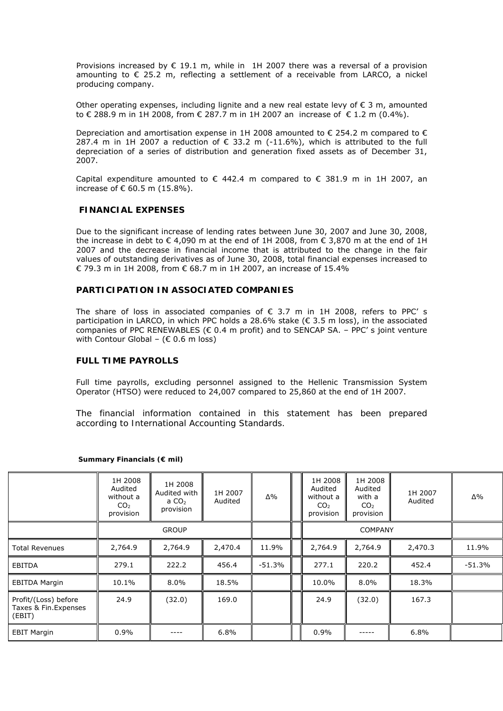Provisions increased by  $\epsilon$  19.1 m, while in 1H 2007 there was a reversal of a provision amounting to € 25.2 m, reflecting a settlement of a receivable from LARCO, a nickel producing company.

Other operating expenses, including lignite and a new real estate levy of € 3 m, amounted to € 288.9 m in 1H 2008, from € 287.7 m in 1H 2007 an increase of € 1.2 m (0.4%).

Depreciation and amortisation expense in 1H 2008 amounted to  $\epsilon$  254.2 m compared to  $\epsilon$ 287.4 m in 1H 2007 a reduction of  $\epsilon$  33.2 m (-11.6%), which is attributed to the full depreciation of a series of distribution and generation fixed assets as of December 31, 2007.

Capital expenditure amounted to  $\epsilon$  442.4 m compared to  $\epsilon$  381.9 m in 1H 2007, an increase of € 60.5 m (15.8%).

### **FINANCIAL EXPENSES**

Due to the significant increase of lending rates between June 30, 2007 and June 30, 2008, the increase in debt to  $\epsilon$  4,090 m at the end of 1H 2008, from  $\epsilon$  3,870 m at the end of 1H 2007 and the decrease in financial income that is attributed to the change in the fair values of outstanding derivatives as of June 30, 2008, total financial expenses increased to € 79.3 m in 1H 2008, from € 68.7 m in 1H 2007, an increase of 15.4%

#### **PARTICIPATION IN ASSOCIATED COMPANIES**

The share of loss in associated companies of  $\epsilon$  3.7 m in 1H 2008, refers to PPC' s participation in LARCO, in which PPC holds a 28.6% stake (€ 3.5 m loss), in the associated companies of PPC RENEWABLES ( $\epsilon$  0.4 m profit) and to SENCAP SA. - PPC' s joint venture with Contour Global – ( $\epsilon$  0.6 m loss)

#### **FULL TIME PAYROLLS**

Full time payrolls, excluding personnel assigned to the Hellenic Transmission System Operator (HTSO) were reduced to 24,007 compared to 25,860 at the end of 1H 2007.

*The financial information contained in this statement has been prepared according to International Accounting Standards.* 

|                                                         | 1H 2008<br>Audited<br>without a<br>CO <sub>2</sub><br>provision | 1H 2008<br>Audited with<br>a $CO2$<br>provision | 1H 2007<br>Audited | Δ%       | 1H 2008<br>Audited<br>without a<br>CO <sub>2</sub><br>provision | 1H 2008<br>Audited<br>with a<br>CO <sub>2</sub><br>provision | 1H 2007<br>Audited | Δ%       |
|---------------------------------------------------------|-----------------------------------------------------------------|-------------------------------------------------|--------------------|----------|-----------------------------------------------------------------|--------------------------------------------------------------|--------------------|----------|
|                                                         |                                                                 | <b>GROUP</b>                                    |                    |          |                                                                 | <b>COMPANY</b>                                               |                    |          |
| <b>Total Revenues</b>                                   | 2,764.9                                                         | 2,764.9                                         | 2,470.4            | 11.9%    | 2,764.9                                                         | 2,764.9                                                      | 2,470.3            | 11.9%    |
| EBITDA                                                  | 279.1                                                           | 222.2                                           | 456.4              | $-51.3%$ | 277.1                                                           | 220.2                                                        | 452.4              | $-51.3%$ |
| <b>EBITDA Margin</b>                                    | 10.1%                                                           | $8.0\%$                                         | 18.5%              |          | 10.0%                                                           | $8.0\%$                                                      | 18.3%              |          |
| Profit/(Loss) before<br>Taxes & Fin. Expenses<br>(EBIT) | 24.9                                                            | (32.0)                                          | 169.0              |          | 24.9                                                            | (32.0)                                                       | 167.3              |          |
| <b>EBIT Margin</b>                                      | 0.9%                                                            | ----                                            | 6.8%               |          | $0.9\%$                                                         |                                                              | 6.8%               |          |

#### **Summary Financials (€ mil)**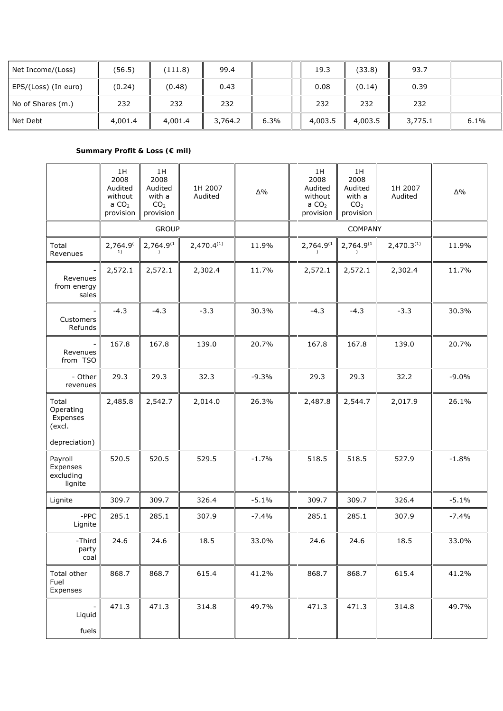| Net Income/(Loss)    | (56.5)  | (111.8) | 99.4    |      | 19.3    | (33.8)  | 93.7    |      |
|----------------------|---------|---------|---------|------|---------|---------|---------|------|
| EPS/(Loss) (In euro) | (0.24)  | (0.48)  | 0.43    |      | 0.08    | (0.14)  | 0.39    |      |
| No of Shares (m.)    | 232     | 232     | 232     |      | 232     | 232     | 232     |      |
| Net Debt             | 4,001.4 | 4,001.4 | 3,764.2 | 6.3% | 4,003.5 | 4,003.5 | 3,775.1 | 6.1% |

# **Summary Profit & Loss (€ mil)**

|                                                              | 1H<br>2008<br>Audited<br>without<br>a $CO2$<br>provision | 1H<br>2008<br>Audited<br>with a<br>CO <sub>2</sub><br>provision | 1H 2007<br>Audited | $\Delta\%$ | 1H<br>2008<br>Audited<br>without<br>a $CO2$<br>provision | 1H<br>2008<br>Audited<br>with a<br>CO <sub>2</sub><br>provision | 1H 2007<br>Audited     | $\Delta\%$ |
|--------------------------------------------------------------|----------------------------------------------------------|-----------------------------------------------------------------|--------------------|------------|----------------------------------------------------------|-----------------------------------------------------------------|------------------------|------------|
|                                                              |                                                          | <b>GROUP</b>                                                    |                    |            |                                                          | COMPANY                                                         |                        |            |
| Total<br>Revenues                                            | 2,764.9 <sup>(</sup><br>1)                               | 2,764.9 <sup>(1)</sup>                                          | $2,470.4^{(1)}$    | 11.9%      | 2,764.9 <sup>(1)</sup>                                   | $2,764.9^{(1)}$                                                 | 2,470.3 <sup>(1)</sup> | 11.9%      |
| Revenues<br>from energy<br>sales                             | 2,572.1                                                  | 2,572.1                                                         | 2,302.4            | 11.7%      | 2,572.1                                                  | 2,572.1                                                         | 2,302.4                | 11.7%      |
| Customers<br>Refunds                                         | $-4.3$                                                   | $-4.3$                                                          | $-3.3$             | 30.3%      | $-4.3$                                                   | $-4.3$                                                          | $-3.3$                 | 30.3%      |
| Revenues<br>from TSO                                         | 167.8                                                    | 167.8                                                           | 139.0              | 20.7%      | 167.8                                                    | 167.8                                                           | 139.0                  | 20.7%      |
| - Other<br>revenues                                          | 29.3                                                     | 29.3                                                            | 32.3               | $-9.3%$    | 29.3                                                     | 29.3                                                            | 32.2                   | $-9.0%$    |
| Total<br>Operating<br>Expenses<br>(excl.                     | 2,485.8                                                  | 2,542.7                                                         | 2,014.0            | 26.3%      | 2,487.8                                                  | 2,544.7                                                         | 2,017.9                | 26.1%      |
| depreciation)<br>Payroll<br>Expenses<br>excluding<br>lignite | 520.5                                                    | 520.5                                                           | 529.5              | $-1.7%$    | 518.5                                                    | 518.5                                                           | 527.9                  | $-1.8%$    |
| Lignite                                                      | 309.7                                                    | 309.7                                                           | 326.4              | $-5.1%$    | 309.7                                                    | 309.7                                                           | 326.4                  | $-5.1%$    |
| -PPC<br>Lignite                                              | 285.1                                                    | 285.1                                                           | 307.9              | $-7.4%$    | 285.1                                                    | 285.1                                                           | 307.9                  | $-7.4%$    |
| -Third<br>party<br>coal                                      | 24.6                                                     | 24.6                                                            | 18.5               | 33.0%      | 24.6                                                     | 24.6                                                            | 18.5                   | 33.0%      |
| Total other<br>Fuel<br>Expenses                              | 868.7                                                    | 868.7                                                           | 615.4              | 41.2%      | 868.7                                                    | 868.7                                                           | 615.4                  | 41.2%      |
| $\overline{\phantom{0}}$<br>Liquid<br>fuels                  | 471.3                                                    | 471.3                                                           | 314.8              | 49.7%      | 471.3                                                    | 471.3                                                           | 314.8                  | 49.7%      |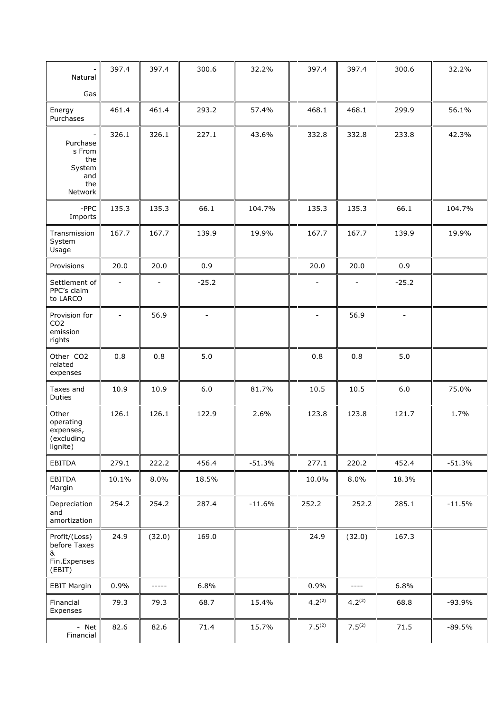| Natural                                                      | 397.4                        | 397.4                    | 300.6          | 32.2%    | 397.4       | 397.4                    | 300.6                    | 32.2%    |
|--------------------------------------------------------------|------------------------------|--------------------------|----------------|----------|-------------|--------------------------|--------------------------|----------|
| Gas                                                          |                              |                          |                |          |             |                          |                          |          |
| Energy<br>Purchases                                          | 461.4                        | 461.4                    | 293.2          | 57.4%    | 468.1       | 468.1                    | 299.9                    | 56.1%    |
| Purchase<br>s From<br>the<br>System<br>and<br>the<br>Network | 326.1                        | 326.1                    | 227.1          | 43.6%    | 332.8       | 332.8                    | 233.8                    | 42.3%    |
| $-$ PPC<br>Imports                                           | 135.3                        | 135.3                    | 66.1           | 104.7%   | 135.3       | 135.3                    | 66.1                     | 104.7%   |
| Transmission<br>System<br>Usage                              | 167.7                        | 167.7                    | 139.9          | 19.9%    | 167.7       | 167.7                    | 139.9                    | 19.9%    |
| Provisions                                                   | 20.0                         | 20.0                     | 0.9            |          | 20.0        | 20.0                     | 0.9                      |          |
| Settlement of<br>PPC's claim<br>to LARCO                     | $\qquad \qquad \blacksquare$ | $\overline{\phantom{a}}$ | $-25.2$        |          |             | $\overline{\phantom{a}}$ | $-25.2$                  |          |
| Provision for<br>CO <sub>2</sub><br>emission<br>rights       | ۰                            | 56.9                     | $\blacksquare$ |          |             | 56.9                     | $\overline{\phantom{0}}$ |          |
| Other CO2<br>related<br>expenses                             | 0.8                          | 0.8                      | 5.0            |          | 0.8         | 0.8                      | 5.0                      |          |
| Taxes and<br>Duties                                          | 10.9                         | 10.9                     | 6.0            | 81.7%    | 10.5        | 10.5                     | 6.0                      | 75.0%    |
| Other<br>operating<br>expenses,<br>(excluding<br>lignite)    | 126.1                        | 126.1                    | 122.9          | 2.6%     | 123.8       | 123.8                    | 121.7                    | 1.7%     |
| EBITDA                                                       | 279.1                        | 222.2                    | 456.4          | $-51.3%$ | 277.1       | 220.2                    | 452.4                    | $-51.3%$ |
| EBITDA<br>Margin                                             | 10.1%                        | 8.0%                     | 18.5%          |          | 10.0%       | 8.0%                     | 18.3%                    |          |
| Depreciation<br>and<br>amortization                          | 254.2                        | 254.2                    | 287.4          | $-11.6%$ | 252.2       | 252.2                    | 285.1                    | $-11.5%$ |
| Profit/(Loss)<br>before Taxes<br>&<br>Fin.Expenses<br>(EBIT) | 24.9                         | (32.0)                   | 169.0          |          | 24.9        | (32.0)                   | 167.3                    |          |
| <b>EBIT Margin</b>                                           | 0.9%                         | -----                    | 6.8%           |          | 0.9%        | $---$                    | 6.8%                     |          |
| Financial<br>Expenses                                        | 79.3                         | 79.3                     | 68.7           | 15.4%    | $4.2^{(2)}$ | $4.2^{(2)}$              | 68.8                     | $-93.9%$ |
| - Net<br>Financial                                           | 82.6                         | 82.6                     | 71.4           | 15.7%    | $7.5^{(2)}$ | $7.5^{(2)}$              | 71.5                     | $-89.5%$ |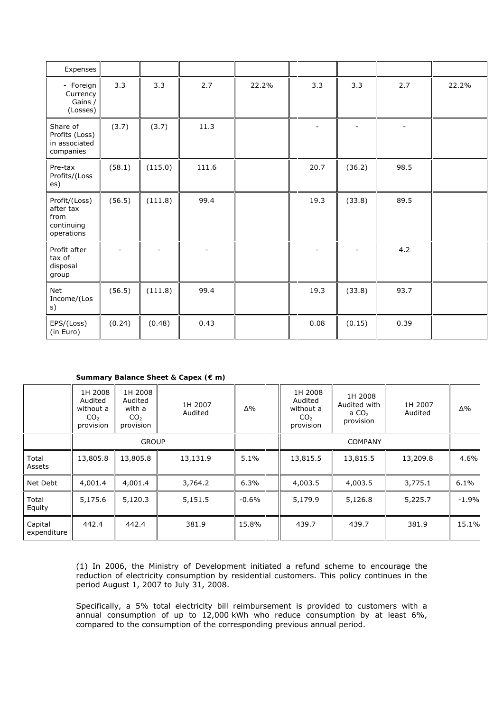| Expenses                                                       |        |         |        |       |      |        |      |       |
|----------------------------------------------------------------|--------|---------|--------|-------|------|--------|------|-------|
| - Foreign<br>Currency<br>Gains /<br>(Losses)                   | 3.3    | 3.3     | 2.7    | 22.2% | 3.3  | 3.3    | 2.7  | 22.2% |
| Share of<br>Profits (Loss)<br>in associated<br>companies       | (3.7)  | (3.7)   | 11.3   |       |      |        |      |       |
| Pre-tax<br>Profits/(Loss<br>es)                                | (58.1) | (115.0) | 111.6  |       | 20.7 | (36.2) | 98.5 |       |
| Profit/(Loss)<br>after tax<br>from<br>continuing<br>operations | (56.5) | (111.8) | 99.4   |       | 19.3 | (33.8) | 89.5 |       |
| Profit after<br>tax of<br>disposal<br>group                    |        |         | $\sim$ |       |      |        | 4.2  |       |
| <b>Net</b><br>Income/(Los<br>s)                                | (56.5) | (111.8) | 99.4   |       | 19.3 | (33.8) | 93.7 |       |
| EPS/(Loss)<br>(in Euro)                                        | (0.24) | (0.48)  | 0.43   |       | 0.08 | (0.15) | 0.39 |       |

### **Summary Balance Sheet & Capex (€ m)**

|                        | 1H 2008<br>Audited<br>without a<br>CO <sub>2</sub><br>provision | 1H 2008<br>Audited<br>with a<br>CO <sub>2</sub><br>provision | 1H 2007<br>Audited | Δ%       | 1H 2008<br>Audited<br>without a<br>CO <sub>2</sub><br>provision | 1H 2008<br>Audited with<br>a $CO2$<br>provision | 1H 2007<br>Audited | Δ%      |
|------------------------|-----------------------------------------------------------------|--------------------------------------------------------------|--------------------|----------|-----------------------------------------------------------------|-------------------------------------------------|--------------------|---------|
|                        | <b>GROUP</b>                                                    |                                                              |                    |          |                                                                 |                                                 |                    |         |
| Total<br>Assets        | 13,805.8                                                        | 13,805.8                                                     | 13,131.9           | 5.1%     | 13,815.5                                                        | 13,815.5                                        | 13,209.8           | 4.6%    |
| Net Debt               | 4,001.4                                                         | 4,001.4                                                      | 3,764.2            | 6.3%     | 4,003.5                                                         | 4,003.5                                         | 3,775.1            | 6.1%    |
| Total<br>Equity        | 5,175.6                                                         | 5,120.3                                                      | 5,151.5            | $-0.6\%$ | 5,179.9                                                         | 5,126.8                                         | 5,225.7            | $-1.9%$ |
| Capital<br>expenditure | 442.4                                                           | 442.4                                                        | 381.9              | 15.8%    | 439.7                                                           | 439.7                                           | 381.9              | 15.1%   |

(1) In 2006, the Ministry of Development initiated a refund scheme to encourage the reduction of electricity consumption by residential customers. This policy continues in the period August 1, 2007 to July 31, 2008.

Specifically, a 5% total electricity bill reimbursement is provided to customers with a annual consumption of up to 12,000 kWh who reduce consumption by at least 6%, compared to the consumption of the corresponding previous annual period.